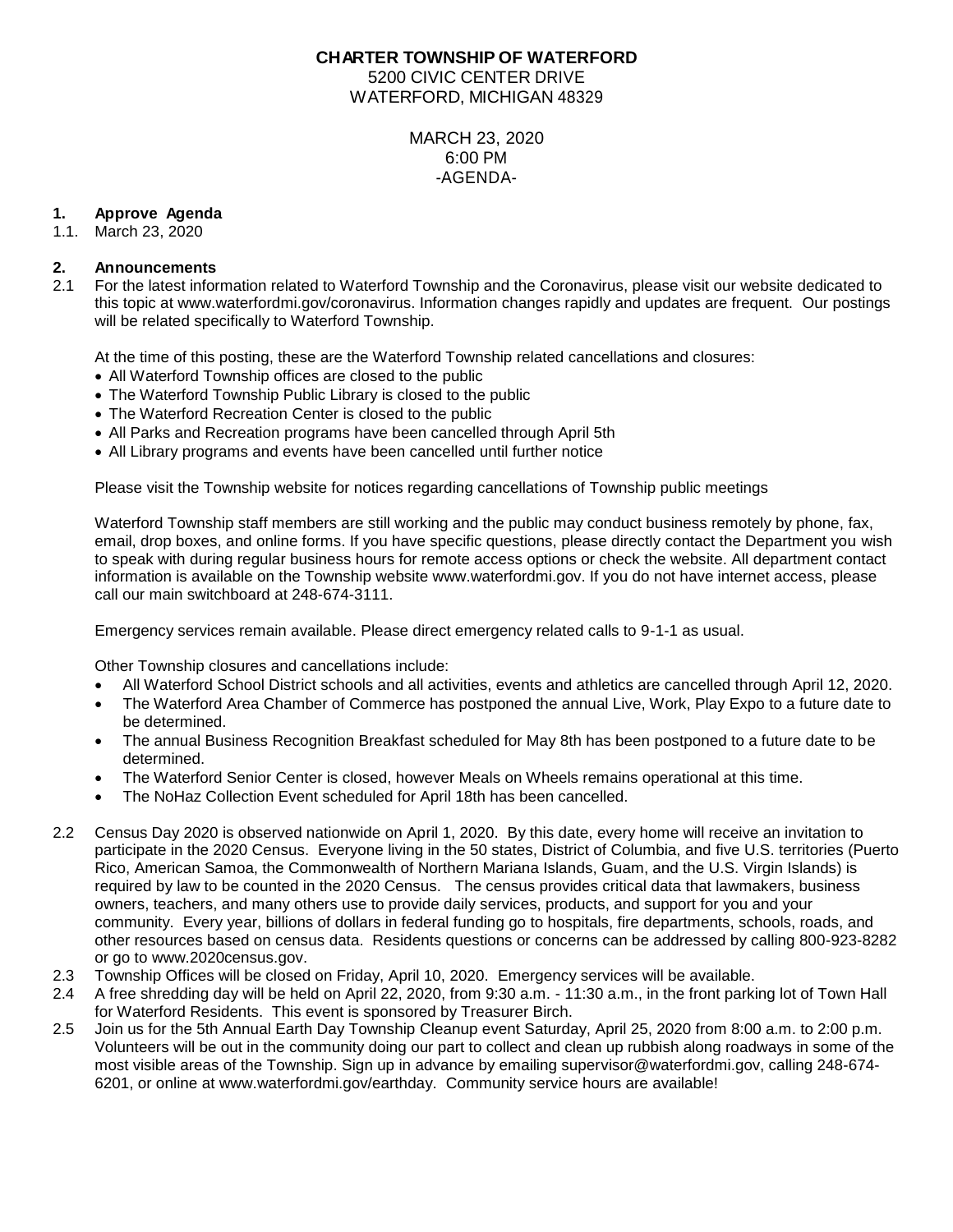## **CHARTER TOWNSHIP OF WATERFORD** 5200 CIVIC CENTER DRIVE WATERFORD, MICHIGAN 48329

MARCH 23, 2020 6:00 PM -AGENDA-

# **1. Approve Agenda**

1.1. March 23, 2020

# **2. Announcements**

2.1 For the latest information related to Waterford Township and the Coronavirus, please visit our website dedicated to this topic at www.waterfordmi.gov/coronavirus. Information changes rapidly and updates are frequent. Our postings will be related specifically to Waterford Township.

At the time of this posting, these are the Waterford Township related cancellations and closures:

- All Waterford Township offices are closed to the public
- The Waterford Township Public Library is closed to the public
- The Waterford Recreation Center is closed to the public
- All Parks and Recreation programs have been cancelled through April 5th
- All Library programs and events have been cancelled until further notice

Please visit the Township website for notices regarding cancellations of Township public meetings

Waterford Township staff members are still working and the public may conduct business remotely by phone, fax, email, drop boxes, and online forms. If you have specific questions, please directly contact the Department you wish to speak with during regular business hours for remote access options or check the website. All department contact information is available on the Township website www.waterfordmi.gov. If you do not have internet access, please call our main switchboard at 248-674-3111.

Emergency services remain available. Please direct emergency related calls to 9-1-1 as usual.

Other Township closures and cancellations include:

- All Waterford School District schools and all activities, events and athletics are cancelled through April 12, 2020.
- The Waterford Area Chamber of Commerce has postponed the annual Live, Work, Play Expo to a future date to be determined.
- The annual Business Recognition Breakfast scheduled for May 8th has been postponed to a future date to be determined.
- The Waterford Senior Center is closed, however Meals on Wheels remains operational at this time.
- The NoHaz Collection Event scheduled for April 18th has been cancelled.
- 2.2 Census Day 2020 is observed nationwide on April 1, 2020. By this date, every home will receive an invitation to participate in the 2020 Census. Everyone living in the 50 states, District of Columbia, and five U.S. territories (Puerto Rico, American Samoa, the Commonwealth of Northern Mariana Islands, Guam, and the U.S. Virgin Islands) is required by law to be counted in the 2020 Census. The census provides critical data that lawmakers, business owners, teachers, and many others use to provide daily services, products, and support for you and your community. Every year, billions of dollars in federal funding go to hospitals, fire departments, schools, roads, and other resources based on census data. Residents questions or concerns can be addressed by calling 800-923-8282 or go to [www.2020census.gov.](http://www.2020census.gov/)
- 2.3 Township Offices will be closed on Friday, April 10, 2020. Emergency services will be available.
- 2.4 A free shredding day will be held on April 22, 2020, from 9:30 a.m. 11:30 a.m., in the front parking lot of Town Hall for Waterford Residents. This event is sponsored by Treasurer Birch.
- 2.5 Join us for the 5th Annual Earth Day Township Cleanup event Saturday, April 25, 2020 from 8:00 a.m. to 2:00 p.m. Volunteers will be out in the community doing our part to collect and clean up rubbish along roadways in some of the most visible areas of the Township. Sign up in advance by emailing supervisor@waterfordmi.gov, calling 248-674- 6201, or online at www.waterfordmi.gov/earthday. Community service hours are available!